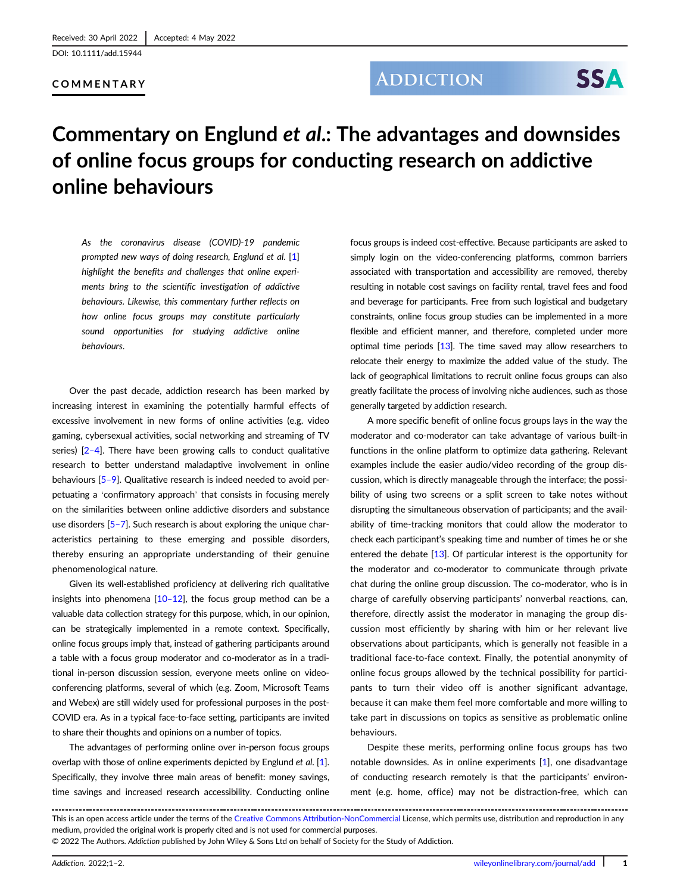[DOI: 10.1111/add.15944](https://doi.org/10.1111/add.15944)

#### COMMENTARY

### **ADDICTION**

# **SSA**

## Commentary on Englund et al.: The advantages and downsides of online focus groups for conducting research on addictive online behaviours

As the coronavirus disease (COVID)-19 pandemic prompted new ways of doing research, Englund et al. [\[1\]](#page-1-0) highlight the benefits and challenges that online experiments bring to the scientific investigation of addictive behaviours. Likewise, this commentary further reflects on how online focus groups may constitute particularly sound opportunities for studying addictive online behaviours.

Over the past decade, addiction research has been marked by increasing interest in examining the potentially harmful effects of excessive involvement in new forms of online activities (e.g. video gaming, cybersexual activities, social networking and streaming of TV series) [2[–](#page-1-0)4]. There have been growing calls to conduct qualitative research to better understand maladaptive involvement in online behaviours [\[5](#page-1-0)-9]. Qualitative research is indeed needed to avoid perpetuating a 'confirmatory approach' that consists in focusing merely on the similarities between online addictive disorders and substance use disorders [\[5](#page-1-0)–7]. Such research is about exploring the unique characteristics pertaining to these emerging and possible disorders, thereby ensuring an appropriate understanding of their genuine phenomenological nature.

Given its well-established proficiency at delivering rich qualitative insights into phenomena  $[10-12]$  $[10-12]$ , the focus group method can be a valuable data collection strategy for this purpose, which, in our opinion, can be strategically implemented in a remote context. Specifically, online focus groups imply that, instead of gathering participants around a table with a focus group moderator and co-moderator as in a traditional in-person discussion session, everyone meets online on videoconferencing platforms, several of which (e.g. Zoom, Microsoft Teams and Webex) are still widely used for professional purposes in the post-COVID era. As in a typical face-to-face setting, participants are invited to share their thoughts and opinions on a number of topics.

The advantages of performing online over in-person focus groups overlap with those of online experiments depicted by Englund et al. [[1](#page-1-0)]. Specifically, they involve three main areas of benefit: money savings, time savings and increased research accessibility. Conducting online

focus groups is indeed cost-effective. Because participants are asked to simply login on the video-conferencing platforms, common barriers associated with transportation and accessibility are removed, thereby resulting in notable cost savings on facility rental, travel fees and food and beverage for participants. Free from such logistical and budgetary constraints, online focus group studies can be implemented in a more flexible and efficient manner, and therefore, completed under more optimal time periods  $[13]$  $[13]$ . The time saved may allow researchers to relocate their energy to maximize the added value of the study. The lack of geographical limitations to recruit online focus groups can also greatly facilitate the process of involving niche audiences, such as those generally targeted by addiction research.

A more specific benefit of online focus groups lays in the way the moderator and co-moderator can take advantage of various built-in functions in the online platform to optimize data gathering. Relevant examples include the easier audio/video recording of the group discussion, which is directly manageable through the interface; the possibility of using two screens or a split screen to take notes without disrupting the simultaneous observation of participants; and the availability of time-tracking monitors that could allow the moderator to check each participant's speaking time and number of times he or she entered the debate [\[13](#page-1-0)]. Of particular interest is the opportunity for the moderator and co-moderator to communicate through private chat during the online group discussion. The co-moderator, who is in charge of carefully observing participants' nonverbal reactions, can, therefore, directly assist the moderator in managing the group discussion most efficiently by sharing with him or her relevant live observations about participants, which is generally not feasible in a traditional face-to-face context. Finally, the potential anonymity of online focus groups allowed by the technical possibility for participants to turn their video off is another significant advantage, because it can make them feel more comfortable and more willing to take part in discussions on topics as sensitive as problematic online behaviours.

Despite these merits, performing online focus groups has two notable downsides. As in online experiments [[1](#page-1-0)], one disadvantage of conducting research remotely is that the participants' environment (e.g. home, office) may not be distraction-free, which can

© 2022 The Authors. Addiction published by John Wiley & Sons Ltd on behalf of Society for the Study of Addiction.

This is an open access article under the terms of the [Creative Commons Attribution-NonCommercial](http://creativecommons.org/licenses/by-nc/4.0/) License, which permits use, distribution and reproduction in any medium, provided the original work is properly cited and is not used for commercial purposes.